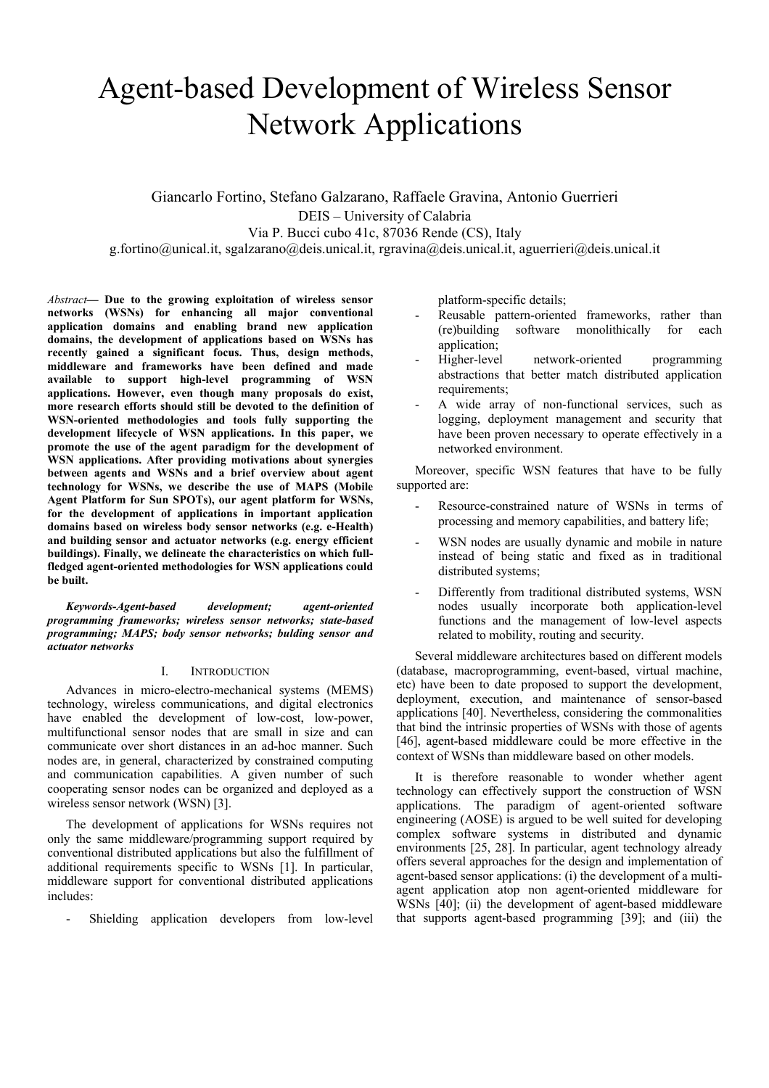# Agent-based Development of Wireless Sensor Network Applications

Giancarlo Fortino, Stefano Galzarano, Raffaele Gravina, Antonio Guerrieri DEIS – University of Calabria Via P. Bucci cubo 41c, 87036 Rende (CS), Italy g.fortino@unical.it, sgalzarano@deis.unical.it, rgravina@deis.unical.it, aguerrieri@deis.unical.it

*Abstract***— Due to the growing exploitation of wireless sensor networks (WSNs) for enhancing all major conventional application domains and enabling brand new application domains, the development of applications based on WSNs has recently gained a significant focus. Thus, design methods, middleware and frameworks have been defined and made available to support high-level programming of WSN applications. However, even though many proposals do exist, more research efforts should still be devoted to the definition of WSN-oriented methodologies and tools fully supporting the development lifecycle of WSN applications. In this paper, we promote the use of the agent paradigm for the development of WSN applications. After providing motivations about synergies between agents and WSNs and a brief overview about agent technology for WSNs, we describe the use of MAPS (Mobile Agent Platform for Sun SPOTs), our agent platform for WSNs, for the development of applications in important application domains based on wireless body sensor networks (e.g. e-Health) and building sensor and actuator networks (e.g. energy efficient buildings). Finally, we delineate the characteristics on which fullfledged agent-oriented methodologies for WSN applications could be built.**

*Keywords-Agent-based development; agent-oriented programming frameworks; wireless sensor networks; state-based programming; MAPS; body sensor networks; bulding sensor and actuator networks*

#### I. INTRODUCTION

Advances in micro-electro-mechanical systems (MEMS) technology, wireless communications, and digital electronics have enabled the development of low-cost, low-power, multifunctional sensor nodes that are small in size and can communicate over short distances in an ad-hoc manner. Such nodes are, in general, characterized by constrained computing and communication capabilities. A given number of such cooperating sensor nodes can be organized and deployed as a wireless sensor network (WSN) [3].

The development of applications for WSNs requires not only the same middleware/programming support required by conventional distributed applications but also the fulfillment of additional requirements specific to WSNs [1]. In particular, middleware support for conventional distributed applications includes:

Shielding application developers from low-level

platform-specific details;

- Reusable pattern-oriented frameworks, rather than (re)building software monolithically for each application;
- Higher-level network-oriented programming abstractions that better match distributed application requirements:
- A wide array of non-functional services, such as logging, deployment management and security that have been proven necessary to operate effectively in a networked environment.

Moreover, specific WSN features that have to be fully supported are:

- Resource-constrained nature of WSNs in terms of processing and memory capabilities, and battery life;
- WSN nodes are usually dynamic and mobile in nature instead of being static and fixed as in traditional distributed systems;
- Differently from traditional distributed systems, WSN nodes usually incorporate both application-level functions and the management of low-level aspects related to mobility, routing and security.

Several middleware architectures based on different models (database, macroprogramming, event-based, virtual machine, etc) have been to date proposed to support the development, deployment, execution, and maintenance of sensor-based applications [40]. Nevertheless, considering the commonalities that bind the intrinsic properties of WSNs with those of agents [46], agent-based middleware could be more effective in the context of WSNs than middleware based on other models.

It is therefore reasonable to wonder whether agent technology can effectively support the construction of WSN applications. The paradigm of agent-oriented software engineering (AOSE) is argued to be well suited for developing complex software systems in distributed and dynamic environments [25, 28]. In particular, agent technology already offers several approaches for the design and implementation of agent-based sensor applications: (i) the development of a multiagent application atop non agent-oriented middleware for WSNs [40]; (ii) the development of agent-based middleware that supports agent-based programming [39]; and (iii) the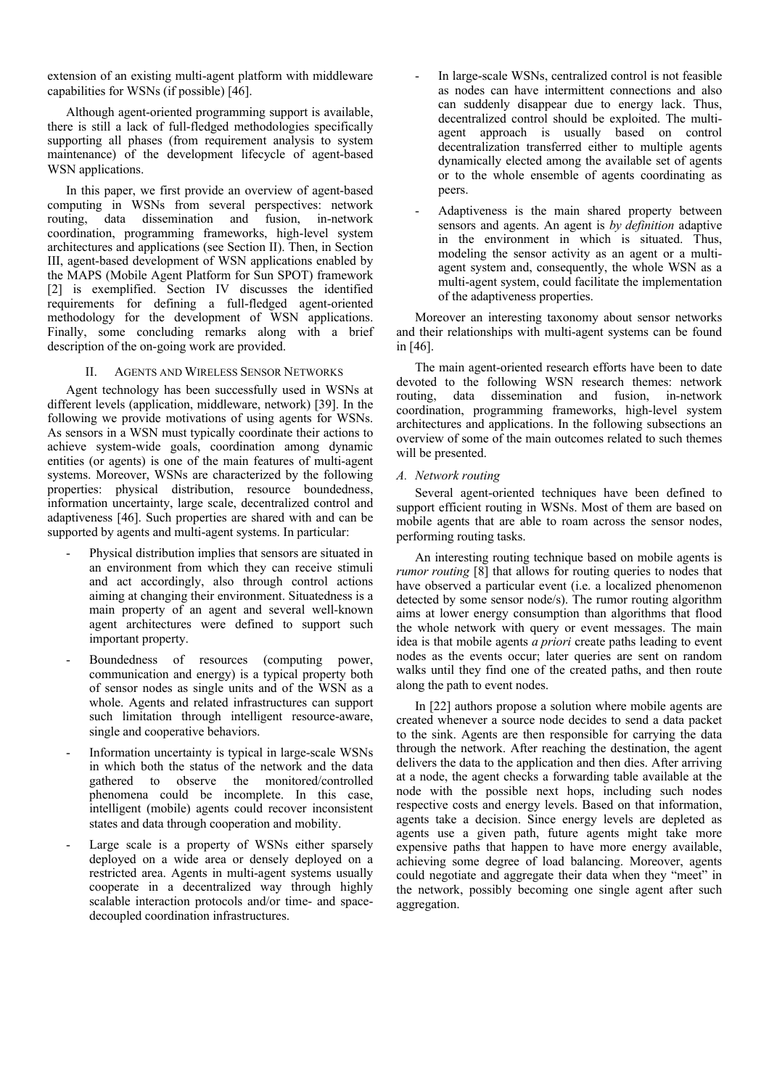extension of an existing multi-agent platform with middleware capabilities for WSNs (if possible) [46].

Although agent-oriented programming support is available, there is still a lack of full-fledged methodologies specifically supporting all phases (from requirement analysis to system maintenance) of the development lifecycle of agent-based WSN applications.

In this paper, we first provide an overview of agent-based computing in WSNs from several perspectives: network routing. data dissemination and fusion in-network routing, data dissemination and fusion, coordination, programming frameworks, high-level system architectures and applications (see Section II). Then, in Section III, agent-based development of WSN applications enabled by the MAPS (Mobile Agent Platform for Sun SPOT) framework [2] is exemplified. Section IV discusses the identified requirements for defining a full-fledged agent-oriented methodology for the development of WSN applications. Finally, some concluding remarks along with a brief description of the on-going work are provided.

### II. AGENTS AND WIRELESS SENSOR NETWORKS

Agent technology has been successfully used in WSNs at different levels (application, middleware, network) [39]. In the following we provide motivations of using agents for WSNs. As sensors in a WSN must typically coordinate their actions to achieve system-wide goals, coordination among dynamic entities (or agents) is one of the main features of multi-agent systems. Moreover, WSNs are characterized by the following properties: physical distribution, resource boundedness, information uncertainty, large scale, decentralized control and adaptiveness [46]. Such properties are shared with and can be supported by agents and multi-agent systems. In particular:

- Physical distribution implies that sensors are situated in an environment from which they can receive stimuli and act accordingly, also through control actions aiming at changing their environment. Situatedness is a main property of an agent and several well-known agent architectures were defined to support such important property.
- Boundedness of resources (computing power, communication and energy) is a typical property both of sensor nodes as single units and of the WSN as a whole. Agents and related infrastructures can support such limitation through intelligent resource-aware, single and cooperative behaviors.
- Information uncertainty is typical in large-scale WSNs in which both the status of the network and the data gathered to observe the monitored/controlled phenomena could be incomplete. In this case, intelligent (mobile) agents could recover inconsistent states and data through cooperation and mobility.
- Large scale is a property of WSNs either sparsely deployed on a wide area or densely deployed on a restricted area. Agents in multi-agent systems usually cooperate in a decentralized way through highly scalable interaction protocols and/or time- and spacedecoupled coordination infrastructures.
- In large-scale WSNs, centralized control is not feasible as nodes can have intermittent connections and also can suddenly disappear due to energy lack. Thus, decentralized control should be exploited. The multiagent approach is usually based on control decentralization transferred either to multiple agents dynamically elected among the available set of agents or to the whole ensemble of agents coordinating as peers.
- Adaptiveness is the main shared property between sensors and agents. An agent is *by definition* adaptive in the environment in which is situated. Thus, modeling the sensor activity as an agent or a multiagent system and, consequently, the whole WSN as a multi-agent system, could facilitate the implementation of the adaptiveness properties.

Moreover an interesting taxonomy about sensor networks and their relationships with multi-agent systems can be found in [46].

The main agent-oriented research efforts have been to date devoted to the following WSN research themes: network routing, data dissemination and fusion, in-network coordination, programming frameworks, high-level system architectures and applications. In the following subsections an overview of some of the main outcomes related to such themes will be presented.

# *A. Network routing*

Several agent-oriented techniques have been defined to support efficient routing in WSNs. Most of them are based on mobile agents that are able to roam across the sensor nodes, performing routing tasks.

An interesting routing technique based on mobile agents is *rumor routing* [8] that allows for routing queries to nodes that have observed a particular event (i.e. a localized phenomenon detected by some sensor node/s). The rumor routing algorithm aims at lower energy consumption than algorithms that flood the whole network with query or event messages. The main idea is that mobile agents *a priori* create paths leading to event nodes as the events occur; later queries are sent on random walks until they find one of the created paths, and then route along the path to event nodes.

In [22] authors propose a solution where mobile agents are created whenever a source node decides to send a data packet to the sink. Agents are then responsible for carrying the data through the network. After reaching the destination, the agent delivers the data to the application and then dies. After arriving at a node, the agent checks a forwarding table available at the node with the possible next hops, including such nodes respective costs and energy levels. Based on that information, agents take a decision. Since energy levels are depleted as agents use a given path, future agents might take more expensive paths that happen to have more energy available, achieving some degree of load balancing. Moreover, agents could negotiate and aggregate their data when they "meet" in the network, possibly becoming one single agent after such aggregation.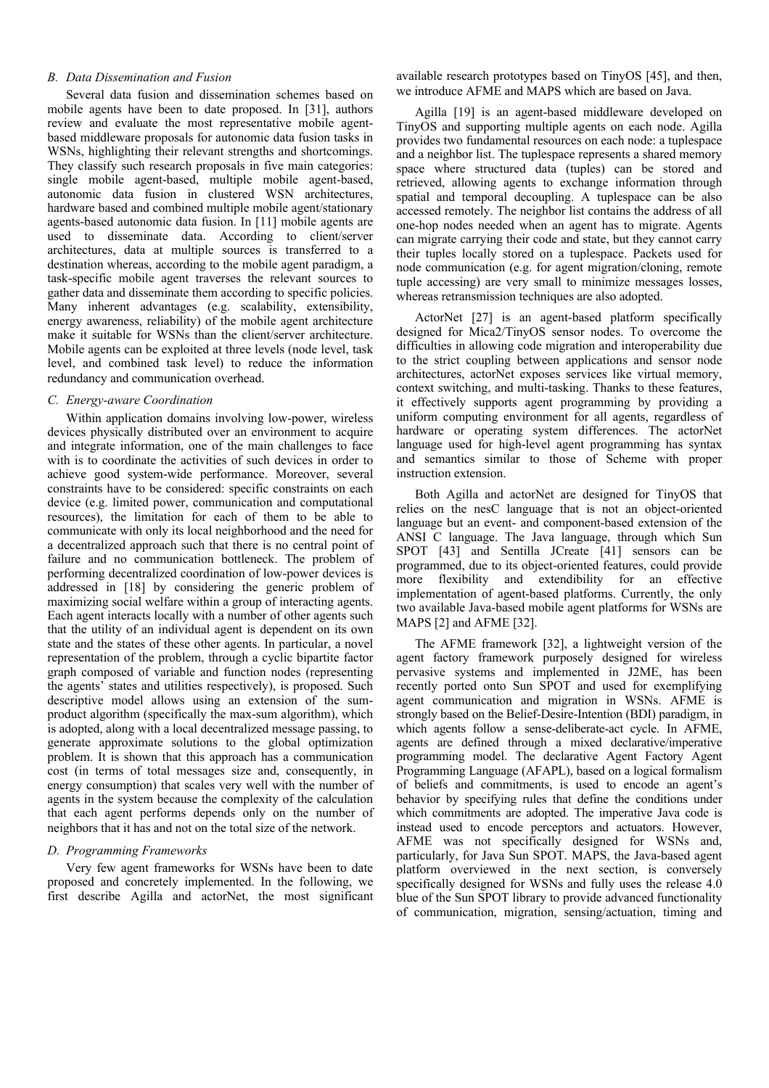### *B. Data Dissemination and Fusion*

Several data fusion and dissemination schemes based on mobile agents have been to date proposed. In [31], authors review and evaluate the most representative mobile agentbased middleware proposals for autonomic data fusion tasks in WSNs, highlighting their relevant strengths and shortcomings. They classify such research proposals in five main categories: single mobile agent-based, multiple mobile agent-based, autonomic data fusion in clustered WSN architectures, hardware based and combined multiple mobile agent/stationary agents-based autonomic data fusion. In [11] mobile agents are used to disseminate data. According to client/server architectures, data at multiple sources is transferred to a destination whereas, according to the mobile agent paradigm, a task-specific mobile agent traverses the relevant sources to gather data and disseminate them according to specific policies. Many inherent advantages (e.g. scalability, extensibility, energy awareness, reliability) of the mobile agent architecture make it suitable for WSNs than the client/server architecture. Mobile agents can be exploited at three levels (node level, task level, and combined task level) to reduce the information redundancy and communication overhead.

### *C. Energy-aware Coordination*

Within application domains involving low-power, wireless devices physically distributed over an environment to acquire and integrate information, one of the main challenges to face with is to coordinate the activities of such devices in order to achieve good system-wide performance. Moreover, several constraints have to be considered: specific constraints on each device (e.g. limited power, communication and computational resources), the limitation for each of them to be able to communicate with only its local neighborhood and the need for a decentralized approach such that there is no central point of failure and no communication bottleneck. The problem of performing decentralized coordination of low-power devices is addressed in [18] by considering the generic problem of maximizing social welfare within a group of interacting agents. Each agent interacts locally with a number of other agents such that the utility of an individual agent is dependent on its own state and the states of these other agents. In particular, a novel representation of the problem, through a cyclic bipartite factor graph composed of variable and function nodes (representing the agents' states and utilities respectively), is proposed. Such descriptive model allows using an extension of the sumproduct algorithm (specifically the max-sum algorithm), which is adopted, along with a local decentralized message passing, to generate approximate solutions to the global optimization problem. It is shown that this approach has a communication cost (in terms of total messages size and, consequently, in energy consumption) that scales very well with the number of agents in the system because the complexity of the calculation that each agent performs depends only on the number of neighbors that it has and not on the total size of the network.

#### *D. Programming Frameworks*

Very few agent frameworks for WSNs have been to date proposed and concretely implemented. In the following, we first describe Agilla and actorNet, the most significant available research prototypes based on TinyOS [45], and then, we introduce AFME and MAPS which are based on Java.

Agilla [19] is an agent-based middleware developed on TinyOS and supporting multiple agents on each node. Agilla provides two fundamental resources on each node: a tuplespace and a neighbor list. The tuplespace represents a shared memory space where structured data (tuples) can be stored and retrieved, allowing agents to exchange information through spatial and temporal decoupling. A tuplespace can be also accessed remotely. The neighbor list contains the address of all one-hop nodes needed when an agent has to migrate. Agents can migrate carrying their code and state, but they cannot carry their tuples locally stored on a tuplespace. Packets used for node communication (e.g. for agent migration/cloning, remote tuple accessing) are very small to minimize messages losses, whereas retransmission techniques are also adopted.

ActorNet [27] is an agent-based platform specifically designed for Mica2/TinyOS sensor nodes. To overcome the difficulties in allowing code migration and interoperability due to the strict coupling between applications and sensor node architectures, actorNet exposes services like virtual memory, context switching, and multi-tasking. Thanks to these features, it effectively supports agent programming by providing a uniform computing environment for all agents, regardless of hardware or operating system differences. The actorNet language used for high-level agent programming has syntax and semantics similar to those of Scheme with proper instruction extension.

Both Agilla and actorNet are designed for TinyOS that relies on the nesC language that is not an object-oriented language but an event- and component-based extension of the ANSI C language. The Java language, through which Sun SPOT [43] and Sentilla JCreate [41] sensors can be programmed, due to its object-oriented features, could provide more flexibility and extendibility for an effective implementation of agent-based platforms. Currently, the only two available Java-based mobile agent platforms for WSNs are MAPS [2] and AFME [32].

The AFME framework [32], a lightweight version of the agent factory framework purposely designed for wireless pervasive systems and implemented in J2ME, has been recently ported onto Sun SPOT and used for exemplifying agent communication and migration in WSNs. AFME is strongly based on the Belief-Desire-Intention (BDI) paradigm, in which agents follow a sense-deliberate-act cycle. In AFME, agents are defined through a mixed declarative/imperative programming model. The declarative Agent Factory Agent Programming Language (AFAPL), based on a logical formalism of beliefs and commitments, is used to encode an agent's behavior by specifying rules that define the conditions under which commitments are adopted. The imperative Java code is instead used to encode perceptors and actuators. However, AFME was not specifically designed for WSNs and, particularly, for Java Sun SPOT. MAPS, the Java-based agent platform overviewed in the next section, is conversely specifically designed for WSNs and fully uses the release  $4.0$ blue of the Sun SPOT library to provide advanced functionality of communication, migration, sensing/actuation, timing and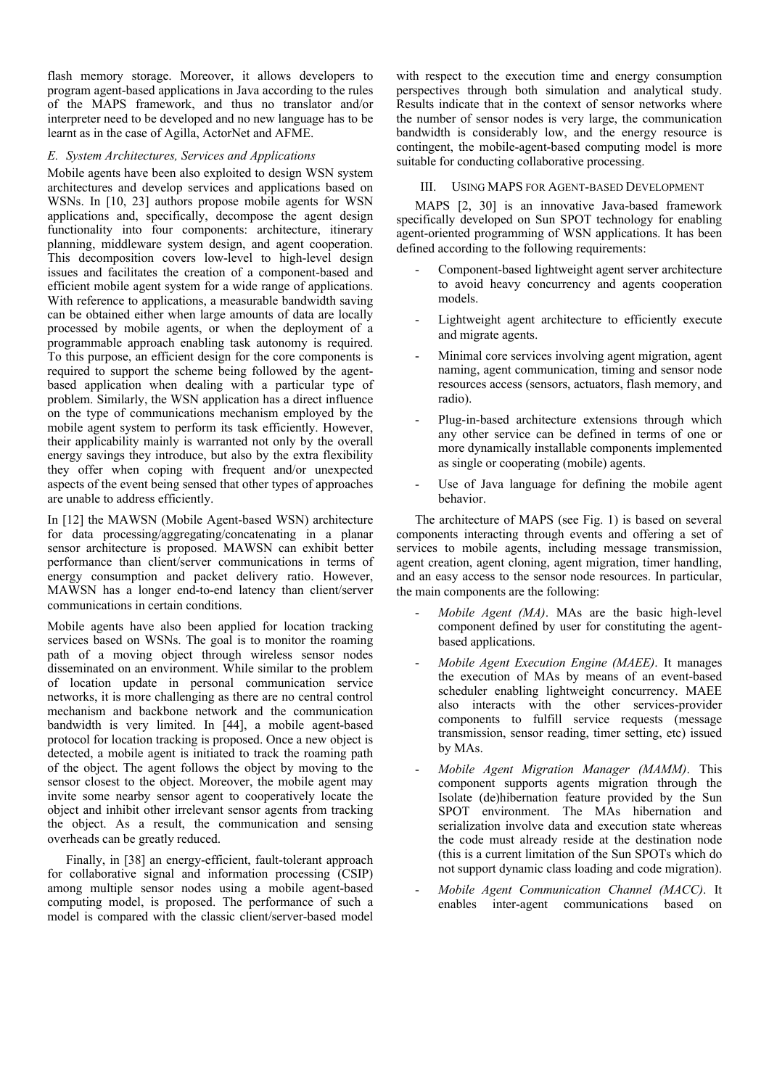flash memory storage. Moreover, it allows developers to program agent-based applications in Java according to the rules of the MAPS framework, and thus no translator and/or interpreter need to be developed and no new language has to be learnt as in the case of Agilla, ActorNet and AFME.

## *E. System Architectures, Services and Applications*

Mobile agents have been also exploited to design WSN system architectures and develop services and applications based on WSNs. In [10, 23] authors propose mobile agents for WSN applications and, specifically, decompose the agent design functionality into four components: architecture, itinerary planning, middleware system design, and agent cooperation. This decomposition covers low-level to high-level design issues and facilitates the creation of a component-based and efficient mobile agent system for a wide range of applications. With reference to applications, a measurable bandwidth saving can be obtained either when large amounts of data are locally processed by mobile agents, or when the deployment of a programmable approach enabling task autonomy is required. To this purpose, an efficient design for the core components is required to support the scheme being followed by the agentbased application when dealing with a particular type of problem. Similarly, the WSN application has a direct influence on the type of communications mechanism employed by the mobile agent system to perform its task efficiently. However, their applicability mainly is warranted not only by the overall energy savings they introduce, but also by the extra flexibility they offer when coping with frequent and/or unexpected aspects of the event being sensed that other types of approaches are unable to address efficiently.

In [12] the MAWSN (Mobile Agent-based WSN) architecture for data processing/aggregating/concatenating in a planar sensor architecture is proposed. MAWSN can exhibit better performance than client/server communications in terms of energy consumption and packet delivery ratio. However, MAWSN has a longer end-to-end latency than client/server communications in certain conditions.

Mobile agents have also been applied for location tracking services based on WSNs. The goal is to monitor the roaming path of a moving object through wireless sensor nodes disseminated on an environment. While similar to the problem of location update in personal communication service networks, it is more challenging as there are no central control mechanism and backbone network and the communication bandwidth is very limited. In [44], a mobile agent-based protocol for location tracking is proposed. Once a new object is detected, a mobile agent is initiated to track the roaming path of the object. The agent follows the object by moving to the sensor closest to the object. Moreover, the mobile agent may invite some nearby sensor agent to cooperatively locate the object and inhibit other irrelevant sensor agents from tracking the object. As a result, the communication and sensing overheads can be greatly reduced.

Finally, in [38] an energy-efficient, fault-tolerant approach for collaborative signal and information processing (CSIP) among multiple sensor nodes using a mobile agent-based computing model, is proposed. The performance of such a model is compared with the classic client/server-based model with respect to the execution time and energy consumption perspectives through both simulation and analytical study. Results indicate that in the context of sensor networks where the number of sensor nodes is very large, the communication bandwidth is considerably low, and the energy resource is contingent, the mobile-agent-based computing model is more suitable for conducting collaborative processing.

## III. USING MAPS FOR AGENT-BASED DEVELOPMENT

MAPS [2, 30] is an innovative Java-based framework specifically developed on Sun SPOT technology for enabling agent-oriented programming of WSN applications. It has been defined according to the following requirements:

- Component-based lightweight agent server architecture to avoid heavy concurrency and agents cooperation models.
- Lightweight agent architecture to efficiently execute and migrate agents.
- Minimal core services involving agent migration, agent naming, agent communication, timing and sensor node resources access (sensors, actuators, flash memory, and radio).
- Plug-in-based architecture extensions through which any other service can be defined in terms of one or more dynamically installable components implemented as single or cooperating (mobile) agents.
- Use of Java language for defining the mobile agent behavior.

The architecture of MAPS (see Fig. 1) is based on several components interacting through events and offering a set of services to mobile agents, including message transmission, agent creation, agent cloning, agent migration, timer handling, and an easy access to the sensor node resources. In particular, the main components are the following:

- *Mobile Agent (MA)*. MAs are the basic high-level component defined by user for constituting the agentbased applications.
- *Mobile Agent Execution Engine (MAEE)*. It manages the execution of MAs by means of an event-based scheduler enabling lightweight concurrency. MAEE also interacts with the other services-provider components to fulfill service requests (message transmission, sensor reading, timer setting, etc) issued by MAs.
- *Mobile Agent Migration Manager (MAMM)*. This component supports agents migration through the Isolate (de)hibernation feature provided by the Sun SPOT environment. The MAs hibernation and serialization involve data and execution state whereas the code must already reside at the destination node (this is a current limitation of the Sun SPOTs which do not support dynamic class loading and code migration).
- *Mobile Agent Communication Channel (MACC)*. It enables inter-agent communications based on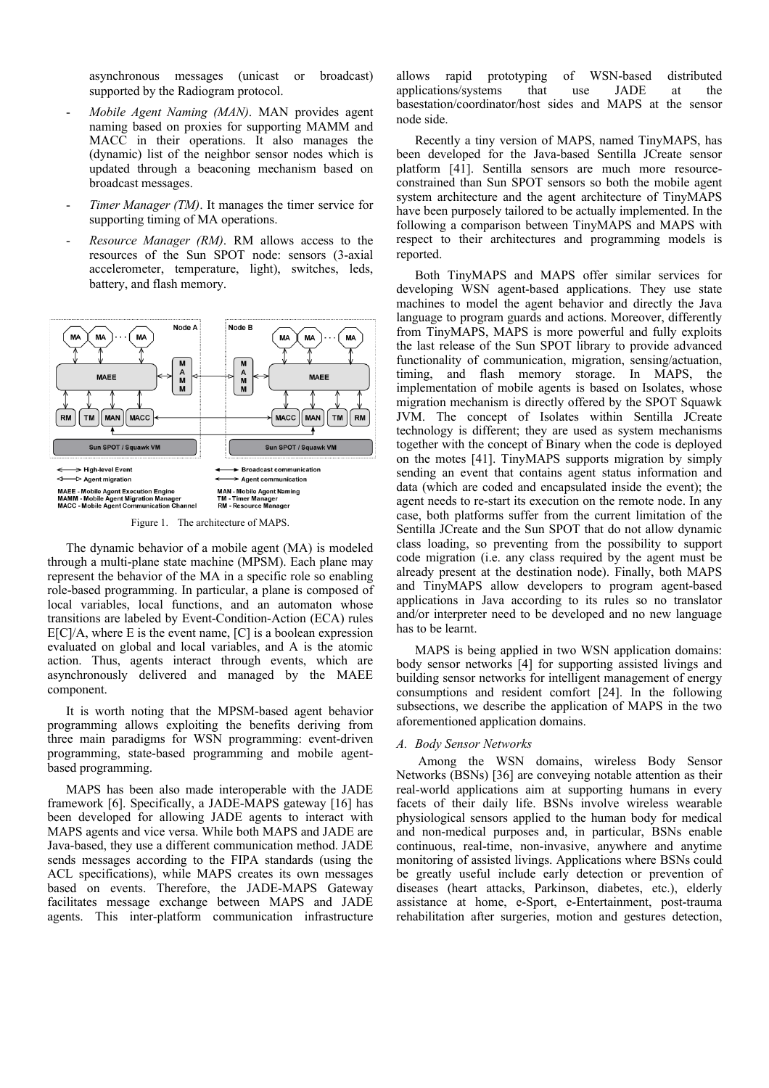asynchronous messages (unicast or broadcast) supported by the Radiogram protocol.

- *Mobile Agent Naming (MAN)*. MAN provides agent naming based on proxies for supporting MAMM and MACC in their operations. It also manages the (dynamic) list of the neighbor sensor nodes which is updated through a beaconing mechanism based on broadcast messages.
- Timer Manager (TM). It manages the timer service for supporting timing of MA operations.
- Resource Manager (RM). RM allows access to the resources of the Sun SPOT node: sensors (3-axial accelerometer, temperature, light), switches, leds, battery, and flash memory.



Figure 1. The architecture of MAPS.

The dynamic behavior of a mobile agent (MA) is modeled through a multi-plane state machine (MPSM). Each plane may represent the behavior of the MA in a specific role so enabling role-based programming. In particular, a plane is composed of local variables, local functions, and an automaton whose transitions are labeled by Event-Condition-Action (ECA) rules  $E[C]/A$ , where E is the event name,  $[C]$  is a boolean expression evaluated on global and local variables, and A is the atomic action. Thus, agents interact through events, which are asynchronously delivered and managed by the MAEE component.

It is worth noting that the MPSM-based agent behavior programming allows exploiting the benefits deriving from three main paradigms for WSN programming: event-driven programming, state-based programming and mobile agentbased programming.

MAPS has been also made interoperable with the JADE framework [6]. Specifically, a JADE-MAPS gateway [16] has been developed for allowing JADE agents to interact with MAPS agents and vice versa. While both MAPS and JADE are Java-based, they use a different communication method. JADE sends messages according to the FIPA standards (using the ACL specifications), while MAPS creates its own messages based on events. Therefore, the JADE-MAPS Gateway facilitates message exchange between MAPS and JADE agents. This inter-platform communication infrastructure

allows rapid prototyping of WSN-based distributed applications/systems that use JADE at the basestation/coordinator/host sides and MAPS at the sensor node side.

Recently a tiny version of MAPS, named TinyMAPS, has been developed for the Java-based Sentilla JCreate sensor platform [41]. Sentilla sensors are much more resourceconstrained than Sun SPOT sensors so both the mobile agent system architecture and the agent architecture of TinyMAPS have been purposely tailored to be actually implemented. In the following a comparison between TinyMAPS and MAPS with respect to their architectures and programming models is reported.

Both TinyMAPS and MAPS offer similar services for developing WSN agent-based applications. They use state machines to model the agent behavior and directly the Java language to program guards and actions. Moreover, differently from TinyMAPS, MAPS is more powerful and fully exploits the last release of the Sun SPOT library to provide advanced functionality of communication, migration, sensing/actuation, timing, and flash memory storage. In MAPS, the implementation of mobile agents is based on Isolates, whose migration mechanism is directly offered by the SPOT Squawk JVM. The concept of Isolates within Sentilla JCreate technology is different; they are used as system mechanisms together with the concept of Binary when the code is deployed on the motes [41]. TinyMAPS supports migration by simply sending an event that contains agent status information and data (which are coded and encapsulated inside the event); the agent needs to re-start its execution on the remote node. In any case, both platforms suffer from the current limitation of the Sentilla JCreate and the Sun SPOT that do not allow dynamic class loading, so preventing from the possibility to support code migration (i.e. any class required by the agent must be already present at the destination node). Finally, both MAPS and TinyMAPS allow developers to program agent-based applications in Java according to its rules so no translator and/or interpreter need to be developed and no new language has to be learnt.

MAPS is being applied in two WSN application domains: body sensor networks [4] for supporting assisted livings and building sensor networks for intelligent management of energy consumptions and resident comfort [24]. In the following subsections, we describe the application of MAPS in the two aforementioned application domains.

#### *A. Body Sensor Networks*

 Among the WSN domains, wireless Body Sensor Networks (BSNs) [36] are conveying notable attention as their real-world applications aim at supporting humans in every facets of their daily life. BSNs involve wireless wearable physiological sensors applied to the human body for medical and non-medical purposes and, in particular, BSNs enable continuous, real-time, non-invasive, anywhere and anytime monitoring of assisted livings. Applications where BSNs could be greatly useful include early detection or prevention of diseases (heart attacks, Parkinson, diabetes, etc.), elderly assistance at home, e-Sport, e-Entertainment, post-trauma rehabilitation after surgeries, motion and gestures detection,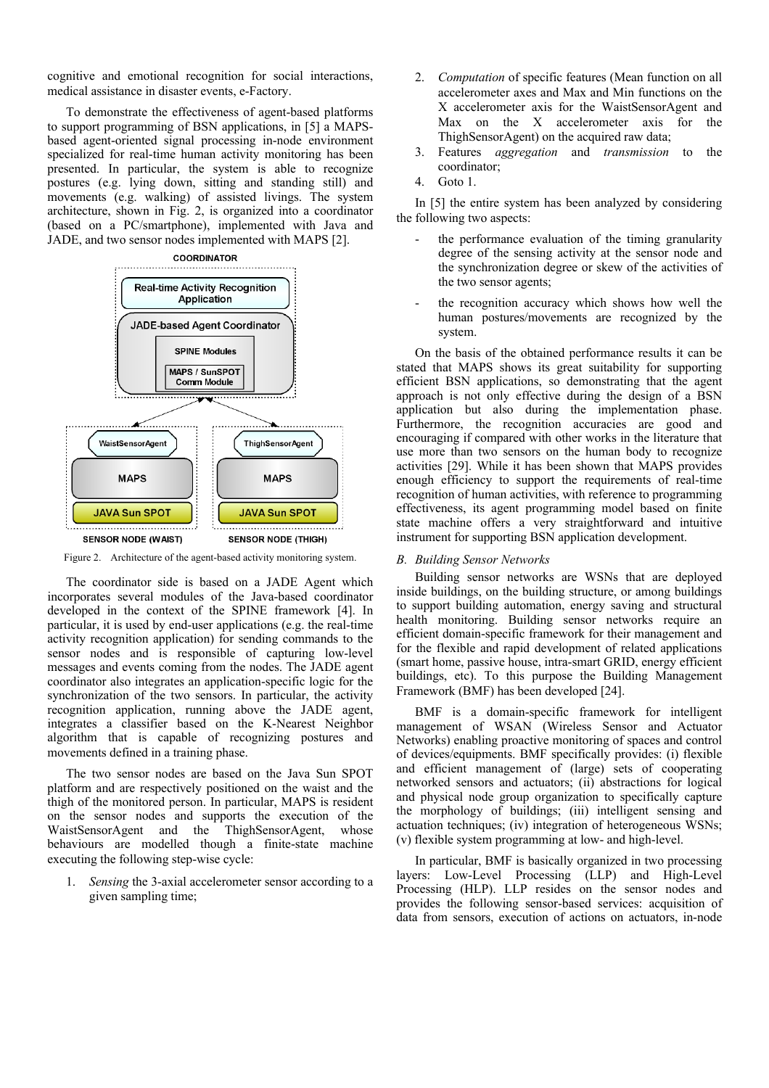cognitive and emotional recognition for social interactions, medical assistance in disaster events, e-Factory.

To demonstrate the effectiveness of agent-based platforms to support programming of BSN applications, in [5] a MAPSbased agent-oriented signal processing in-node environment specialized for real-time human activity monitoring has been presented. In particular, the system is able to recognize postures (e.g. lying down, sitting and standing still) and movements (e.g. walking) of assisted livings. The system architecture, shown in Fig. 2, is organized into a coordinator (based on a PC/smartphone), implemented with Java and JADE, and two sensor nodes implemented with MAPS [2].



Figure 2. Architecture of the agent-based activity monitoring system.

The coordinator side is based on a JADE Agent which incorporates several modules of the Java-based coordinator developed in the context of the SPINE framework [4]. In particular, it is used by end-user applications (e.g. the real-time activity recognition application) for sending commands to the sensor nodes and is responsible of capturing low-level messages and events coming from the nodes. The JADE agent coordinator also integrates an application-specific logic for the synchronization of the two sensors. In particular, the activity recognition application, running above the JADE agent, integrates a classifier based on the K-Nearest Neighbor algorithm that is capable of recognizing postures and movements defined in a training phase.

The two sensor nodes are based on the Java Sun SPOT platform and are respectively positioned on the waist and the thigh of the monitored person. In particular, MAPS is resident on the sensor nodes and supports the execution of the WaistSensorAgent and the ThighSensorAgent, whose behaviours are modelled though a finite-state machine executing the following step-wise cycle:

Sensing the 3-axial accelerometer sensor according to a given sampling time;

- 2. *Computation* of specific features (Mean function on all accelerometer axes and Max and Min functions on the X accelerometer axis for the WaistSensorAgent and Max on the X accelerometer axis for the ThighSensorAgent) on the acquired raw data;
- 3. Features *aggregation* and *transmission* to the coordinator;
- 4. Goto 1.

In [5] the entire system has been analyzed by considering the following two aspects:

- the performance evaluation of the timing granularity degree of the sensing activity at the sensor node and the synchronization degree or skew of the activities of the two sensor agents;
- the recognition accuracy which shows how well the human postures/movements are recognized by the system.

On the basis of the obtained performance results it can be stated that MAPS shows its great suitability for supporting efficient BSN applications, so demonstrating that the agent approach is not only effective during the design of a BSN application but also during the implementation phase. Furthermore, the recognition accuracies are good and encouraging if compared with other works in the literature that use more than two sensors on the human body to recognize activities [29]. While it has been shown that MAPS provides enough efficiency to support the requirements of real-time recognition of human activities, with reference to programming effectiveness, its agent programming model based on finite state machine offers a very straightforward and intuitive instrument for supporting BSN application development.

# *B. Building Sensor Networks*

Building sensor networks are WSNs that are deployed inside buildings, on the building structure, or among buildings to support building automation, energy saving and structural health monitoring. Building sensor networks require an efficient domain-specific framework for their management and for the flexible and rapid development of related applications (smart home, passive house, intra-smart GRID, energy efficient buildings, etc). To this purpose the Building Management Framework (BMF) has been developed [24].

BMF is a domain-specific framework for intelligent management of WSAN (Wireless Sensor and Actuator Networks) enabling proactive monitoring of spaces and control of devices/equipments. BMF specifically provides: (i) flexible and efficient management of (large) sets of cooperating networked sensors and actuators; (ii) abstractions for logical and physical node group organization to specifically capture the morphology of buildings; (iii) intelligent sensing and actuation techniques; (iv) integration of heterogeneous WSNs; (v) flexible system programming at low- and high-level.

In particular, BMF is basically organized in two processing layers: Low-Level Processing (LLP) and High-Level Processing (HLP). LLP resides on the sensor nodes and provides the following sensor-based services: acquisition of data from sensors, execution of actions on actuators, in-node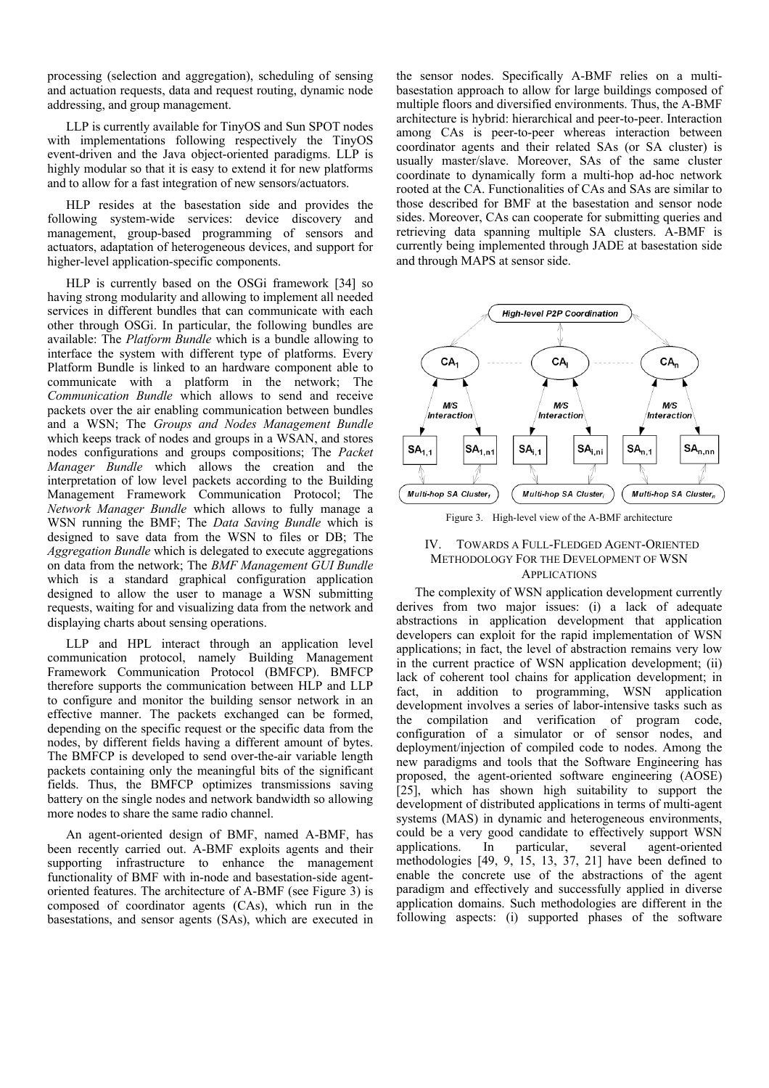processing (selection and aggregation), scheduling of sensing and actuation requests, data and request routing, dynamic node addressing, and group management.

LLP is currently available for TinyOS and Sun SPOT nodes with implementations following respectively the TinyOS event-driven and the Java object-oriented paradigms. LLP is highly modular so that it is easy to extend it for new platforms and to allow for a fast integration of new sensors/actuators.

HLP resides at the basestation side and provides the following system-wide services: device discovery and management, group-based programming of sensors and actuators, adaptation of heterogeneous devices, and support for higher-level application-specific components.

HLP is currently based on the OSGi framework [34] so having strong modularity and allowing to implement all needed services in different bundles that can communicate with each other through OSGi. In particular, the following bundles are available: The *Platform Bundle* which is a bundle allowing to interface the system with different type of platforms. Every Platform Bundle is linked to an hardware component able to communicate with a platform in the network; The *Communication Bundle* which allows to send and receive packets over the air enabling communication between bundles and a WSN; The *Groups and Nodes Management Bundle* which keeps track of nodes and groups in a WSAN, and stores nodes configurations and groups compositions; The *Packet Manager Bundle* which allows the creation and the interpretation of low level packets according to the Building Management Framework Communication Protocol; The *Network Manager Bundle* which allows to fully manage a WSN running the BMF; The *Data Saving Bundle* which is designed to save data from the WSN to files or DB; The *Aggregation Bundle* which is delegated to execute aggregations on data from the network; The *BMF Management GUI Bundle* which is a standard graphical configuration application designed to allow the user to manage a WSN submitting requests, waiting for and visualizing data from the network and displaying charts about sensing operations.

LLP and HPL interact through an application level communication protocol, namely Building Management Framework Communication Protocol (BMFCP). BMFCP therefore supports the communication between HLP and LLP to configure and monitor the building sensor network in an effective manner. The packets exchanged can be formed, depending on the specific request or the specific data from the nodes, by different fields having a different amount of bytes. The BMFCP is developed to send over-the-air variable length packets containing only the meaningful bits of the significant fields. Thus, the BMFCP optimizes transmissions saving battery on the single nodes and network bandwidth so allowing more nodes to share the same radio channel.

An agent-oriented design of BMF, named A-BMF, has been recently carried out. A-BMF exploits agents and their supporting infrastructure to enhance the management functionality of BMF with in-node and basestation-side agentoriented features. The architecture of A-BMF (see Figure 3) is composed of coordinator agents (CAs), which run in the basestations, and sensor agents (SAs), which are executed in

the sensor nodes. Specifically A-BMF relies on a multibasestation approach to allow for large buildings composed of multiple floors and diversified environments. Thus, the A-BMF architecture is hybrid: hierarchical and peer-to-peer. Interaction among CAs is peer-to-peer whereas interaction between coordinator agents and their related SAs (or SA cluster) is usually master/slave. Moreover, SAs of the same cluster coordinate to dynamically form a multi-hop ad-hoc network rooted at the CA. Functionalities of CAs and SAs are similar to those described for BMF at the basestation and sensor node sides. Moreover, CAs can cooperate for submitting queries and retrieving data spanning multiple SA clusters. A-BMF is currently being implemented through JADE at basestation side and through MAPS at sensor side.



Figure 3. High-level view of the A-BMF architecture

## IV. TOWARDS A FULL-FLEDGED AGENT-ORIENTED METHODOLOGY FOR THE DEVELOPMENT OF WSN **APPLICATIONS**

The complexity of WSN application development currently derives from two major issues: (i) a lack of adequate abstractions in application development that application developers can exploit for the rapid implementation of WSN applications; in fact, the level of abstraction remains very low in the current practice of WSN application development; (ii) lack of coherent tool chains for application development; in fact, in addition to programming, WSN application development involves a series of labor-intensive tasks such as the compilation and verification of program code, configuration of a simulator or of sensor nodes, and deployment/injection of compiled code to nodes. Among the new paradigms and tools that the Software Engineering has proposed, the agent-oriented software engineering (AOSE) [25], which has shown high suitability to support the development of distributed applications in terms of multi-agent systems (MAS) in dynamic and heterogeneous environments, could be a very good candidate to effectively support WSN applications. In particular, several agent-oriented methodologies [49, 9, 15, 13, 37, 21] have been defined to enable the concrete use of the abstractions of the agent paradigm and effectively and successfully applied in diverse application domains. Such methodologies are different in the following aspects: (i) supported phases of the software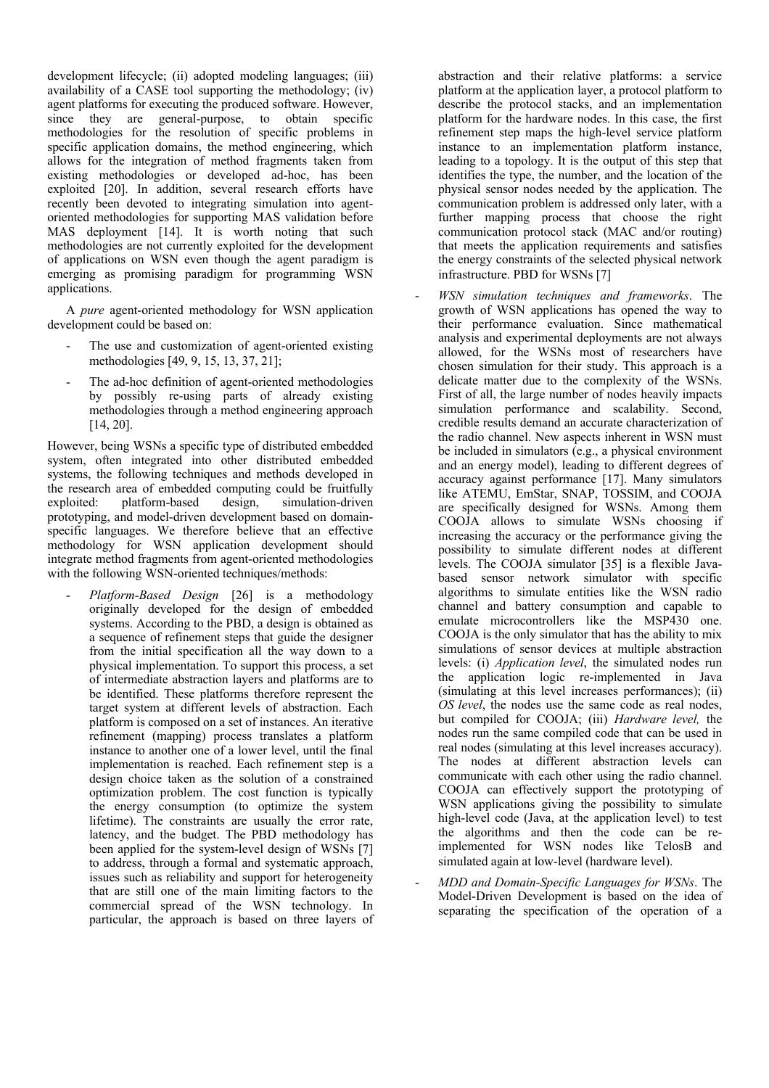development lifecycle; (ii) adopted modeling languages; (iii) availability of a CASE tool supporting the methodology; (iv) agent platforms for executing the produced software. However, since they are general-purpose, to obtain specific methodologies for the resolution of specific problems in specific application domains, the method engineering, which allows for the integration of method fragments taken from existing methodologies or developed ad-hoc, has been exploited [20]. In addition, several research efforts have recently been devoted to integrating simulation into agentoriented methodologies for supporting MAS validation before MAS deployment [14]. It is worth noting that such methodologies are not currently exploited for the development of applications on WSN even though the agent paradigm is emerging as promising paradigm for programming WSN applications.

A *pure* agent-oriented methodology for WSN application development could be based on:

- The use and customization of agent-oriented existing methodologies [49, 9, 15, 13, 37, 21];
- The ad-hoc definition of agent-oriented methodologies by possibly re-using parts of already existing methodologies through a method engineering approach [14, 20].

However, being WSNs a specific type of distributed embedded system, often integrated into other distributed embedded systems, the following techniques and methods developed in the research area of embedded computing could be fruitfully exploited: platform-based design. simulation-driven platform-based design, simulation-driven prototyping, and model-driven development based on domainspecific languages. We therefore believe that an effective methodology for WSN application development should integrate method fragments from agent-oriented methodologies with the following WSN-oriented techniques/methods:

- *Platform-Based Design* [26] is a methodology originally developed for the design of embedded systems. According to the PBD, a design is obtained as a sequence of refinement steps that guide the designer from the initial specification all the way down to a physical implementation. To support this process, a set of intermediate abstraction layers and platforms are to be identified. These platforms therefore represent the target system at different levels of abstraction. Each platform is composed on a set of instances. An iterative refinement (mapping) process translates a platform instance to another one of a lower level, until the final implementation is reached. Each refinement step is a design choice taken as the solution of a constrained optimization problem. The cost function is typically the energy consumption (to optimize the system lifetime). The constraints are usually the error rate, latency, and the budget. The PBD methodology has been applied for the system-level design of WSNs [7] to address, through a formal and systematic approach, issues such as reliability and support for heterogeneity that are still one of the main limiting factors to the commercial spread of the WSN technology. In particular, the approach is based on three layers of abstraction and their relative platforms: a service platform at the application layer, a protocol platform to describe the protocol stacks, and an implementation platform for the hardware nodes. In this case, the first refinement step maps the high-level service platform instance to an implementation platform instance, leading to a topology. It is the output of this step that identifies the type, the number, and the location of the physical sensor nodes needed by the application. The communication problem is addressed only later, with a further mapping process that choose the right communication protocol stack (MAC and/or routing) that meets the application requirements and satisfies the energy constraints of the selected physical network infrastructure. PBD for WSNs [7]

- *WSN simulation techniques and frameworks*. The growth of WSN applications has opened the way to their performance evaluation. Since mathematical analysis and experimental deployments are not always allowed, for the WSNs most of researchers have chosen simulation for their study. This approach is a delicate matter due to the complexity of the WSNs. First of all, the large number of nodes heavily impacts simulation performance and scalability. Second, credible results demand an accurate characterization of the radio channel. New aspects inherent in WSN must be included in simulators (e.g., a physical environment and an energy model), leading to different degrees of accuracy against performance [17]. Many simulators like ATEMU, EmStar, SNAP, TOSSIM, and COOJA are specifically designed for WSNs. Among them COOJA allows to simulate WSNs choosing if increasing the accuracy or the performance giving the possibility to simulate different nodes at different levels. The COOJA simulator [35] is a flexible Javabased sensor network simulator with specific algorithms to simulate entities like the WSN radio channel and battery consumption and capable to emulate microcontrollers like the MSP430 one. COOJA is the only simulator that has the ability to mix simulations of sensor devices at multiple abstraction levels: (i) *Application level*, the simulated nodes run the application logic re-implemented in Java (simulating at this level increases performances); (ii) *OS level*, the nodes use the same code as real nodes, but compiled for COOJA; (iii) *Hardware level,* the nodes run the same compiled code that can be used in real nodes (simulating at this level increases accuracy). The nodes at different abstraction levels can communicate with each other using the radio channel. COOJA can effectively support the prototyping of WSN applications giving the possibility to simulate high-level code (Java, at the application level) to test the algorithms and then the code can be reimplemented for WSN nodes like TelosB and simulated again at low-level (hardware level).
- *MDD and Domain-Specific Languages for WSNs*. The Model-Driven Development is based on the idea of separating the specification of the operation of a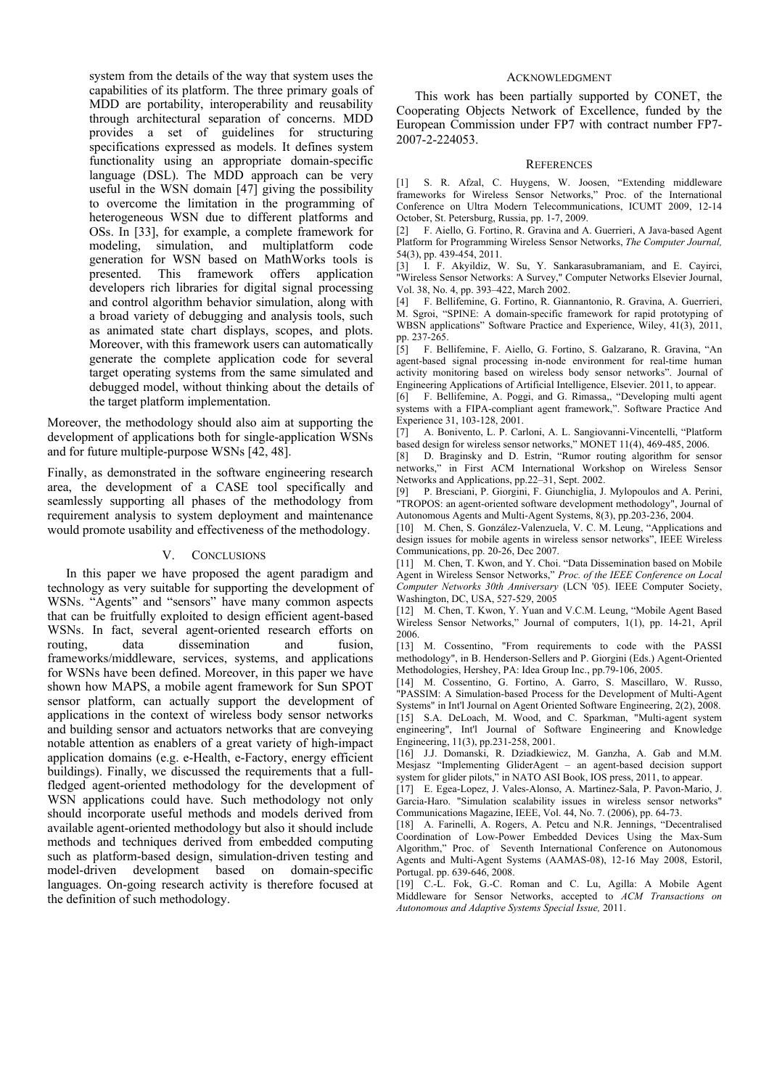system from the details of the way that system uses the capabilities of its platform. The three primary goals of MDD are portability, interoperability and reusability through architectural separation of concerns. MDD provides a set of guidelines for structuring specifications expressed as models. It defines system functionality using an appropriate domain-specific language (DSL). The MDD approach can be very useful in the WSN domain [47] giving the possibility to overcome the limitation in the programming of heterogeneous WSN due to different platforms and OSs. In [33], for example, a complete framework for modeling, simulation, and multiplatform code generation for WSN based on MathWorks tools is presented. This framework offers application developers rich libraries for digital signal processing and control algorithm behavior simulation, along with a broad variety of debugging and analysis tools, such as animated state chart displays, scopes, and plots. Moreover, with this framework users can automatically generate the complete application code for several target operating systems from the same simulated and debugged model, without thinking about the details of the target platform implementation.

Moreover, the methodology should also aim at supporting the development of applications both for single-application WSNs and for future multiple-purpose WSNs [42, 48].

Finally, as demonstrated in the software engineering research area, the development of a CASE tool specifically and seamlessly supporting all phases of the methodology from requirement analysis to system deployment and maintenance would promote usability and effectiveness of the methodology.

### V. CONCLUSIONS

In this paper we have proposed the agent paradigm and technology as very suitable for supporting the development of WSNs. "Agents" and "sensors" have many common aspects that can be fruitfully exploited to design efficient agent-based WSNs. In fact, several agent-oriented research efforts on routing, data dissemination and fusion, frameworks/middleware, services, systems, and applications for WSNs have been defined. Moreover, in this paper we have shown how MAPS, a mobile agent framework for Sun SPOT sensor platform, can actually support the development of applications in the context of wireless body sensor networks and building sensor and actuators networks that are conveying notable attention as enablers of a great variety of high-impact application domains (e.g. e-Health, e-Factory, energy efficient buildings). Finally, we discussed the requirements that a fullfledged agent-oriented methodology for the development of WSN applications could have. Such methodology not only should incorporate useful methods and models derived from available agent-oriented methodology but also it should include methods and techniques derived from embedded computing such as platform-based design, simulation-driven testing and model-driven development based on domain-specific languages. On-going research activity is therefore focused at the definition of such methodology.

#### ACKNOWLEDGMENT

This work has been partially supported by CONET, the Cooperating Objects Network of Excellence, funded by the European Commission under FP7 with contract number FP7- 2007-2-224053.

#### **REFERENCES**

[1] S. R. Afzal, C. Huygens, W. Joosen, "Extending middleware frameworks for Wireless Sensor Networks," Proc. of the International Conference on Ultra Modern Telecommunications, ICUMT 2009, 12-14 October, St. Petersburg, Russia, pp. 1-7, 2009.

[2] F. Aiello, G. Fortino, R. Gravina and A. Guerrieri, A Java-based Agent Platform for Programming Wireless Sensor Networks, *The Computer Journal,*  54(3), pp. 439-454, 2011.

[3] I. F. Akyildiz, W. Su, Y. Sankarasubramaniam, and E. Cayirci, "Wireless Sensor Networks: A Survey," Computer Networks Elsevier Journal, Vol. 38, No. 4, pp. 393–422, March 2002.

[4] F. Bellifemine, G. Fortino, R. Giannantonio, R. Gravina, A. Guerrieri, M. Sgroi, "SPINE: A domain-specific framework for rapid prototyping of WBSN applications" Software Practice and Experience, Wiley, 41(3), 2011, pp. 237-265.

[5] F. Bellifemine, F. Aiello, G. Fortino, S. Galzarano, R. Gravina, "An agent-based signal processing in-node environment for real-time human activity monitoring based on wireless body sensor networks". Journal of Engineering Applications of Artificial Intelligence, Elsevier. 2011, to appear.

[6] F. Bellifemine, A. Poggi, and G. Rimassa,, "Developing multi agent systems with a FIPA-compliant agent framework,". Software Practice And Experience 31, 103-128, 2001.

[7] A. Bonivento, L. P. Carloni, A. L. Sangiovanni-Vincentelli, "Platform based design for wireless sensor networks," MONET 11(4), 469-485, 2006.

[8] D. Braginsky and D. Estrin, "Rumor routing algorithm for sensor networks," in First ACM International Workshop on Wireless Sensor Networks and Applications, pp.22–31, Sept. 2002.

[9] P. Bresciani, P. Giorgini, F. Giunchiglia, J. Mylopoulos and A. Perini, "TROPOS: an agent-oriented software development methodology", Journal of Autonomous Agents and Multi-Agent Systems, 8(3), pp.203-236, 2004.

[10] M. Chen, S. González-Valenzuela, V. C. M. Leung, "Applications and design issues for mobile agents in wireless sensor networks", IEEE Wireless Communications, pp. 20-26, Dec 2007.

[11] M. Chen, T. Kwon, and Y. Choi. "Data Dissemination based on Mobile Agent in Wireless Sensor Networks," *Proc. of the IEEE Conference on Local Computer Networks 30th Anniversary* (LCN '05). IEEE Computer Society, Washington, DC, USA, 527-529, 2005

[12] M. Chen, T. Kwon, Y. Yuan and V.C.M. Leung, "Mobile Agent Based Wireless Sensor Networks," Journal of computers, 1(1), pp. 14-21, April 2006.

[13] M. Cossentino, "From requirements to code with the PASSI methodology", in B. Henderson-Sellers and P. Giorgini (Eds.) Agent-Oriented Methodologies, Hershey, PA: Idea Group Inc., pp.79-106, 2005.

[14] M. Cossentino, G. Fortino, A. Garro, S. Mascillaro, W. Russo, "PASSIM: A Simulation-based Process for the Development of Multi-Agent Systems" in Int'l Journal on Agent Oriented Software Engineering, 2(2), 2008. [15] S.A. DeLoach, M. Wood, and C. Sparkman, "Multi-agent system engineering", Int'l Journal of Software Engineering and Knowledge Engineering, 11(3), pp.231-258, 2001.

[16] J.J. Domanski, R. Dziadkiewicz, M. Ganzha, A. Gab and M.M. Mesjasz "Implementing GliderAgent – an agent-based decision support system for glider pilots," in NATO ASI Book, IOS press, 2011, to appear.

[17] E. Egea-Lopez, J. Vales-Alonso, A. Martinez-Sala, P. Pavon-Mario, J. Garcia-Haro. "Simulation scalability issues in wireless sensor networks" Communications Magazine, IEEE, Vol. 44, No. 7. (2006), pp. 64-73.

[18] A. Farinelli, A. Rogers, A. Petcu and N.R. Jennings, "Decentralised Coordination of Low-Power Embedded Devices Using the Max-Sum Algorithm," Proc. of Seventh International Conference on Autonomous Agents and Multi-Agent Systems (AAMAS-08), 12-16 May 2008, Estoril, Portugal. pp. 639-646, 2008.

[19] C.-L. Fok, G.-C. Roman and C. Lu, Agilla: A Mobile Agent Middleware for Sensor Networks, accepted to *ACM Transactions on Autonomous and Adaptive Systems Special Issue,* 2011.